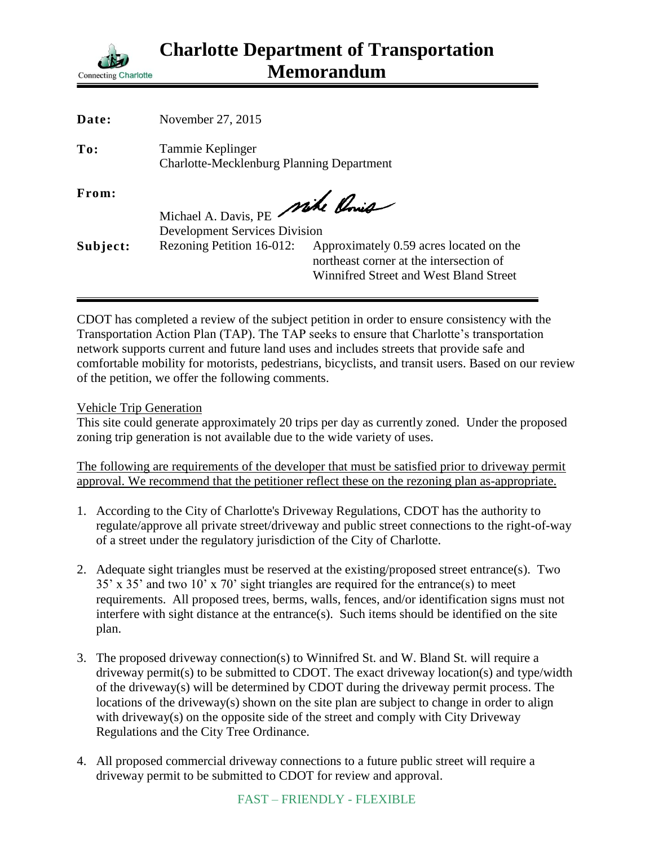

| Date:    | November 27, 2015                                                       |                                                                                                                              |
|----------|-------------------------------------------------------------------------|------------------------------------------------------------------------------------------------------------------------------|
| To:      | Tammie Keplinger<br><b>Charlotte-Mecklenburg Planning Department</b>    |                                                                                                                              |
| From:    | Michael A. Davis, PE Mike Chris<br><b>Development Services Division</b> |                                                                                                                              |
| Subject: | Rezoning Petition 16-012:                                               | Approximately 0.59 acres located on the<br>northeast corner at the intersection of<br>Winnifred Street and West Bland Street |

CDOT has completed a review of the subject petition in order to ensure consistency with the Transportation Action Plan (TAP). The TAP seeks to ensure that Charlotte's transportation network supports current and future land uses and includes streets that provide safe and comfortable mobility for motorists, pedestrians, bicyclists, and transit users. Based on our review of the petition, we offer the following comments.

Vehicle Trip Generation

This site could generate approximately 20 trips per day as currently zoned. Under the proposed zoning trip generation is not available due to the wide variety of uses.

The following are requirements of the developer that must be satisfied prior to driveway permit approval. We recommend that the petitioner reflect these on the rezoning plan as-appropriate.

- 1. According to the City of Charlotte's Driveway Regulations, CDOT has the authority to regulate/approve all private street/driveway and public street connections to the right-of-way of a street under the regulatory jurisdiction of the City of Charlotte.
- 2. Adequate sight triangles must be reserved at the existing/proposed street entrance(s). Two 35' x 35' and two 10' x 70' sight triangles are required for the entrance(s) to meet requirements. All proposed trees, berms, walls, fences, and/or identification signs must not interfere with sight distance at the entrance(s). Such items should be identified on the site plan.
- 3. The proposed driveway connection(s) to Winnifred St. and W. Bland St. will require a driveway permit(s) to be submitted to CDOT. The exact driveway location(s) and type/width of the driveway(s) will be determined by CDOT during the driveway permit process. The locations of the driveway(s) shown on the site plan are subject to change in order to align with driveway(s) on the opposite side of the street and comply with City Driveway Regulations and the City Tree Ordinance.
- 4. All proposed commercial driveway connections to a future public street will require a driveway permit to be submitted to CDOT for review and approval.